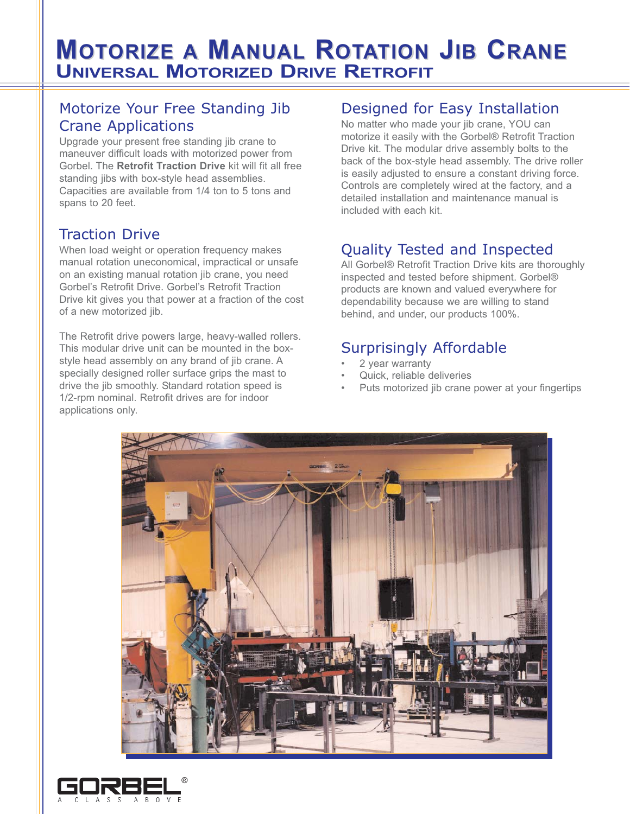# **MOTORIZE A MANUAL ROTATION JIB CRANE UNIVERSAL MOTORIZED DRIVE RETROFIT**

#### Motorize Your Free Standing Jib Crane Applications

Upgrade your present free standing jib crane to maneuver difficult loads with motorized power from Gorbel. The **Retrofit Traction Drive** kit will fit all free standing jibs with box-style head assemblies. Capacities are available from 1/4 ton to 5 tons and spans to 20 feet.

#### Traction Drive

When load weight or operation frequency makes manual rotation uneconomical, impractical or unsafe on an existing manual rotation jib crane, you need Gorbel's Retrofit Drive. Gorbel's Retrofit Traction Drive kit gives you that power at a fraction of the cost of a new motorized jib.

The Retrofit drive powers large, heavy-walled rollers. This modular drive unit can be mounted in the boxstyle head assembly on any brand of jib crane. A specially designed roller surface grips the mast to drive the jib smoothly. Standard rotation speed is 1/2-rpm nominal. Retrofit drives are for indoor applications only.

#### Designed for Easy Installation

No matter who made your jib crane, YOU can motorize it easily with the Gorbel® Retrofit Traction Drive kit. The modular drive assembly bolts to the back of the box-style head assembly. The drive roller is easily adjusted to ensure a constant driving force. Controls are completely wired at the factory, and a detailed installation and maintenance manual is included with each kit.

# Quality Tested and Inspected

All Gorbel® Retrofit Traction Drive kits are thoroughly inspected and tested before shipment. Gorbel® products are known and valued everywhere for dependability because we are willing to stand behind, and under, our products 100%.

### Surprisingly Affordable

- 2 year warranty
- Quick, reliable deliveries
- Puts motorized jib crane power at your fingertips